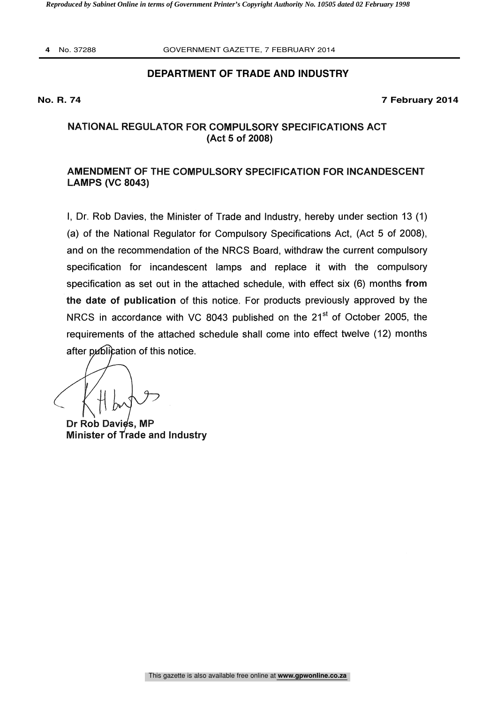**4** No. 37288 GOVERNMENT GAZETTE, 7 FEBRUARY 2014

# **DEPARTMENT OF TRADE AND INDUSTRY**

#### **No. R. 74 7 February 2014**

# NATIONAL REGULATOR FOR COMPULSORY SPECIFICATIONS ACT (Act 5 of 2008)

# AMENDMENT OF THE COMPULSORY SPECIFICATION FOR INCANDESCENT LAMPS (VC 8043)

I, Dr. Rob Davies, the Minister of Trade and Industry, hereby under section 13 (1) (a) of the National Regulator for Compulsory Specifications Act, (Act 5 of 2008), and on the recommendation of the NRCS Board, withdraw the current compulsory specification for incandescent lamps and replace it with the compulsory specification as set out in the attached schedule, with effect six (6) months from the date of publication of this notice. For products previously approved by the NRCS in accordance with VC 8043 published on the 21<sup>st</sup> of October 2005, the requirements of the attached schedule shall come into effect twelve (12) months after publication of this notice.

Dr Rob Davies, MP Minister of Trade and Industry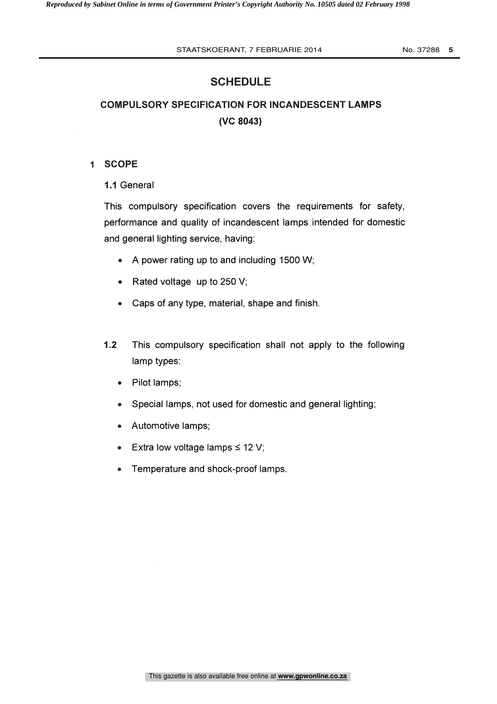# SCHEDULE

# COMPULSORY SPECIFICATION FOR INCANDESCENT LAMPS (VC 8043)

### <sup>1</sup> SCOPE

1.1 General

This compulsory specification covers the requirements for safety, performance and quality of incandescent lamps intended for domestic and general lighting service, having:

- A power rating up to and including 1500 W;
- Rated voltage up to 250 V;  $\bullet$
- $\bullet$ Caps of any type, material, shape and finish.
- 1.2 This compulsory specification shall not apply to the following lamp types:
	- Pilot lamps;  $\bullet$
	- Special lamps, not used for domestic and general lighting;  $\bullet$
	- Automotive lamps;  $\bullet$
	- Extra low voltage lamps  $\leq 12$  V;  $\bullet$
	- Temperature and shock-proof lamps.  $\bullet$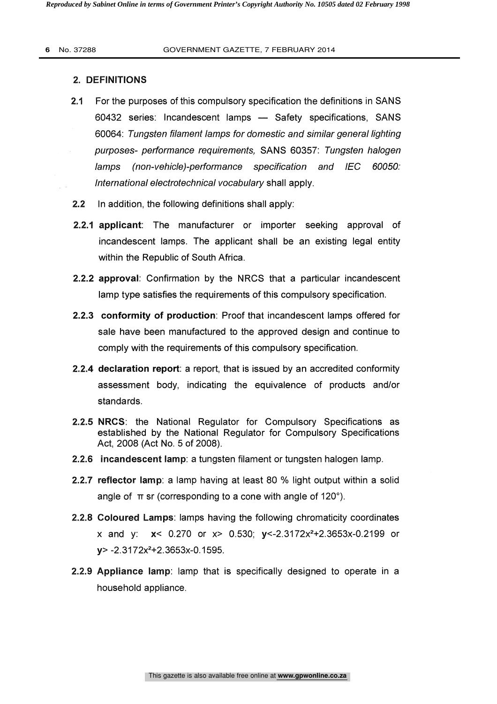### 2. DEFINITIONS

- 2.1 For the purposes of this compulsory specification the definitions in SANS 60432 series: Incandescent lamps - Safety specifications, SANS 60064: Tungsten filament lamps for domestic and similar general lighting purposes- performance requirements, SANS 60357: Tungsten halogen For the purposes of this compulsory specification the definitions in SANS<br>60432 series: Incandescent lamps — Safety specifications, SANS<br>60064: *Tungsten filament lamps for domestic and similar general lighting<br>purposes- p* International electrotechnical vocabulary shall apply. Formulary terms (non-vehicle)-performance specification and IEC 60050:<br>
International electrotechnical vocabulary shall apply.<br>
2.2.1 applicant: The manufacturer or importer seeking approval of<br>
incandescent lamps. The app
- 2.2 In addition, the following definitions shall apply:
- incandescent lamps. The applicant shall be an existing legal entity within the Republic of South Africa.
- 2.2.2 approval: Confirmation by the NRCS that a particular incandescent lamp type satisfies the requirements of this compulsory specification.
- 2.2.3 conformity of production: Proof that incandescent lamps offered for sale have been manufactured to the approved design and continue to comply with the requirements of this compulsory specification.
- 2.2.4 declaration report: a report, that is issued by an accredited conformity assessment body, indicating the equivalence of products and/or standards.
- 2.2.5 NRCS: the National Regulator for Compulsory Specifications as established by the National Regulator for Compulsory Specifications Act, 2008 (Act No. 5 of 2008).
- 2.2.6 incandescent lamp: a tungsten filament or tungsten halogen lamp.
- 2.2.7 reflector lamp: a lamp having at least 80 % light output within a solid angle of  $\pi$  sr (corresponding to a cone with angle of 120°).
- 2.2.8 Coloured Lamps: lamps having the following chromaticity coordinates x and y: x< 0.270 or x> 0.530; y<-2.3172x2+2.3653x-0.2199 or  $v$  -2.3172x<sup>2</sup>+2.3653x-0.1595.
- 2.2.9 Appliance lamp: lamp that is specifically designed to operate in a household appliance.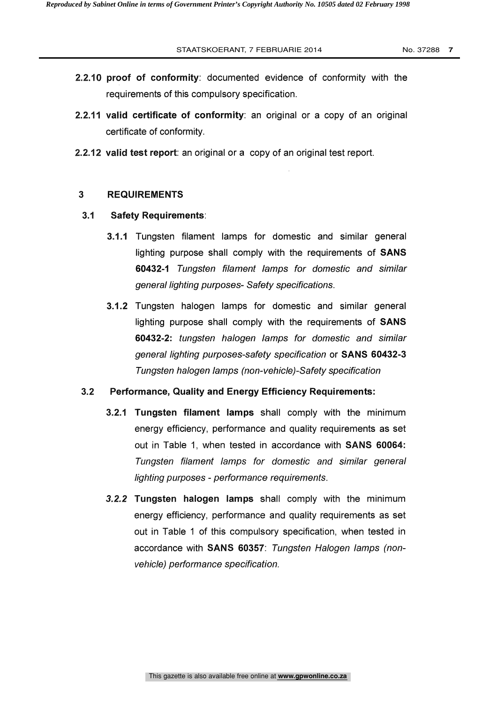- 2.2.10 proof of conformity: documented evidence of conformity with the requirements of this compulsory specification.
- 2.2.11 valid certificate of conformity: an original or a copy of an original certificate of conformity.
- 2.2.12 valid test report: an original or a copy of an original test report.

#### 3 REQUIREMENTS

- 3.1 Safety Requirements:
	- 3.1.1 Tungsten filament lamps for domestic and similar general lighting purpose shall comply with the requirements of SANS 60432-1 Tungsten filament lamps for domestic and similar general lighting purposes- Safety specifications.
	- 3.1.2 Tungsten halogen lamps for domestic and similar general lighting purpose shall comply with the requirements of SANS 60432-2: tungsten halogen lamps for domestic and similar general lighting purposes-safety specification or SANS 60432-3 Tungsten halogen lamps (non-vehicle)-Safety specification

### 3.2 Performance, Quality and Energy Efficiency Requirements:

- 3.2.1 Tungsten filament lamps shall comply with the minimum energy efficiency, performance and quality requirements as set out in Table 1, when tested in accordance with SANS 60064: Tungsten filament lamps for domestic and similar general lighting purposes - performance requirements.
- 3.2.2 Tungsten halogen lamps shall comply with the minimum energy efficiency, performance and quality requirements as set out in Table 1 of this compulsory specification, when tested in accordance with SANS 60357: Tungsten Halogen lamps (nonvehicle) performance specification.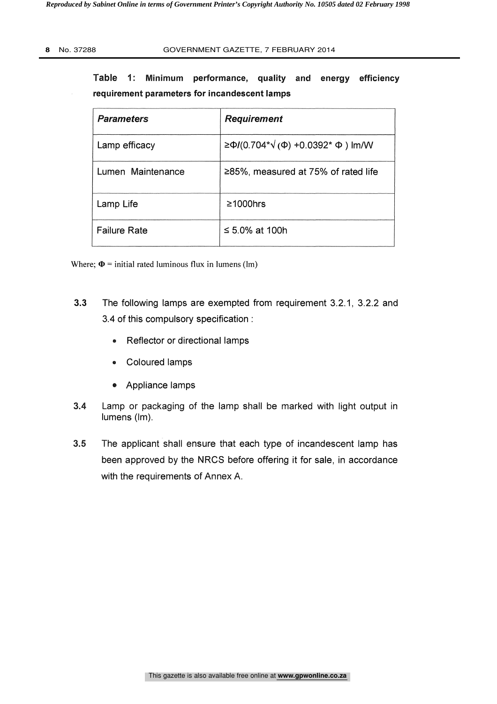Table 1: Minimum performance, quality and energy efficiency requirement parameters for incandescent lamps

| <b>Parameters</b>   | <b>Requirement</b>                           |
|---------------------|----------------------------------------------|
| Lamp efficacy       | $\ge$ Φ/(0.704* $\sqrt$ (Φ) +0.0392* Φ) lm/W |
| Lumen Maintenance   | $\geq$ 85%, measured at 75% of rated life    |
| Lamp Life           | $\geq 1000$ hrs                              |
| <b>Failure Rate</b> | ≤ 5.0% at 100h                               |

Where;  $\Phi$  = initial rated luminous flux in lumens (lm)

- 3.3 The following lamps are exempted from requirement 3.2.1, 3.2.2 and 3.4 of this compulsory specification :
	- Reflector or directional lamps  $\bullet$
	- Coloured lamps  $\bullet$
	- Appliance lamps
- 3.4 Lamp or packaging of the lamp shall be marked with light output in lumens (Im).
- 3.5 The applicant shall ensure that each type of incandescent lamp has been approved by the NRCS before offering it for sale, in accordance with the requirements of Annex A.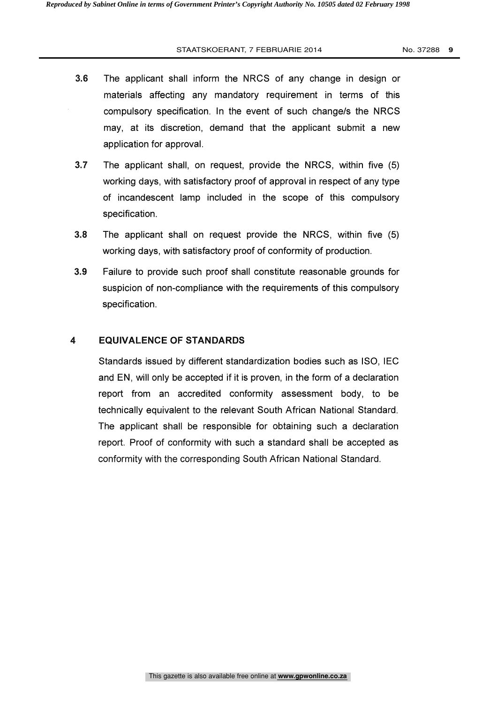#### STAATSKOERANT, 7 FEBRUARIE 2014 No. 37288 **9**

- 3.6 The applicant shall inform the NRCS of any change in design or materials affecting any mandatory requirement in terms of this compulsory specification. In the event of such change/s the NRCS may, at its discretion, demand that the applicant submit a new application for approval.
- 3.7 The applicant shall, on request, provide the NRCS, within five (5) working days, with satisfactory proof of approval in respect of any type of incandescent lamp included in the scope of this compulsory specification.
- 3.8 The applicant shall on request provide the NRCS, within five (5) working days, with satisfactory proof of conformity of production.
- 3.9 Failure to provide such proof shall constitute reasonable grounds for suspicion of non-compliance with the requirements of this compulsory specification.

#### 4 EQUIVALENCE OF STANDARDS

Standards issued by different standardization bodies such as ISO, IEC and EN, will only be accepted if it is proven, in the form of a declaration EQUIVALENCE OF STANDARDS<br>Standards issued by different standardization bodies such as ISO, IEC<br>and EN, will only be accepted if it is proven, in the form of a declaration<br>report from an accredited conformity assessment bod technically equivalent to the relevant South African National Standard. The applicant shall be responsible for obtaining such a declaration report. Proof of conformity with such a standard shall be accepted as conformity with the corresponding South African National Standard.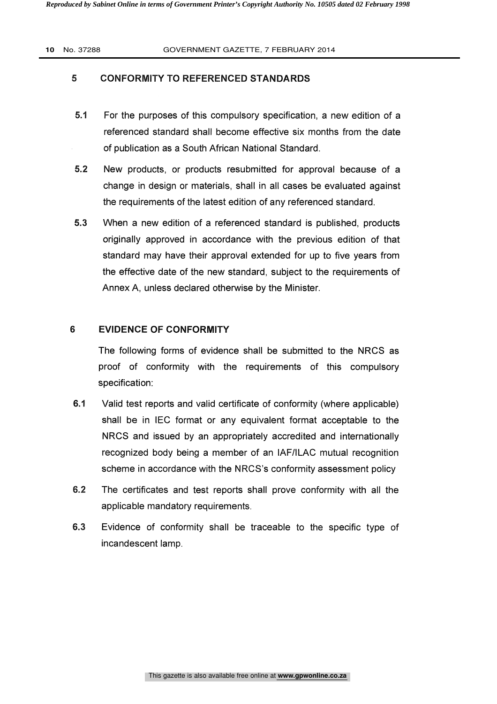# 5 CONFORMITY TO REFERENCED STANDARDS

- 5.1 For the purposes of this compulsory specification, a new edition of a referenced standard shall become effective six months from the date of publication as a South African National Standard.
- 5.2 New products, or products resubmitted for approval because of a change in design or materials, shall in all cases be evaluated against the requirements of the latest edition of any referenced standard.
- 5.3 When a new edition of a referenced standard is published, products originally approved in accordance with the previous edition of that standard may have their approval extended for up to five years from the effective date of the new standard, subject to the requirements of Annex A, unless declared otherwise by the Minister.

# 6 EVIDENCE OF CONFORMITY

The following forms of evidence shall be submitted to the NRCS as proof of conformity with the requirements of this compulsory specification:

- 6.1 Valid test reports and valid certificate of conformity (where applicable) shall be in IEC format or any equivalent format acceptable to the NRCS and issued by an appropriately accredited and internationally recognized body being a member of an IAF/ILAC mutual recognition scheme in accordance with the NRCS's conformity assessment policy
- 6.2 The certificates and test reports shall prove conformity with all the applicable mandatory requirements.
- 6.3 Evidence of conformity shall be traceable to the specific type of incandescent lamp.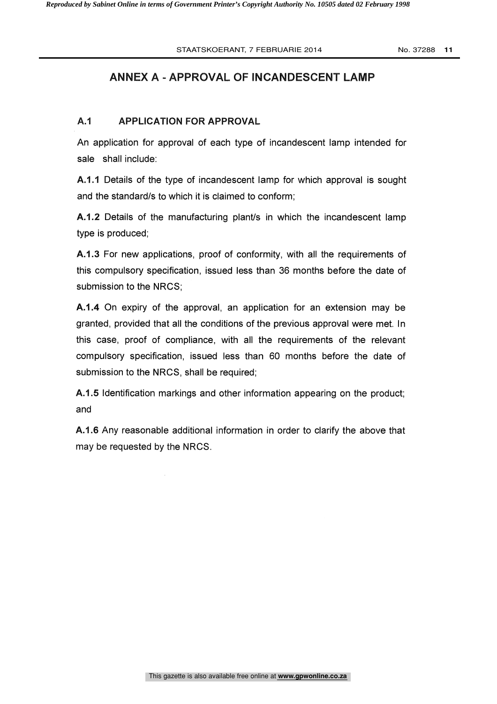# ANNEX A - APPROVAL OF INCANDESCENT LAMP

### A.1 APPLICATION FOR APPROVAL

An application for approval of each type of incandescent lamp intended for sale shall include:

A.1.1 Details of the type of incandescent lamp for which approval is sought and the standard/s to which it is claimed to conform;

A.1.2 Details of the manufacturing plant/s in which the incandescent lamp type is produced;

A.1.3 For new applications, proof of conformity, with all the requirements of this compulsory specification, issued less than 36 months before the date of submission to the NRCS;

A.1.4 On expiry of the approval, an application for an extension may be granted, provided that all the conditions of the previous approval were met. In this case, proof of compliance, with all the requirements of the relevant compulsory specification, issued less than 60 months before the date of submission to the NRCS, shall be required;

A.1.5 Identification markings and other information appearing on the product; and

A.1.6 Any reasonable additional information in order to clarify the above that may be requested by the NRCS.